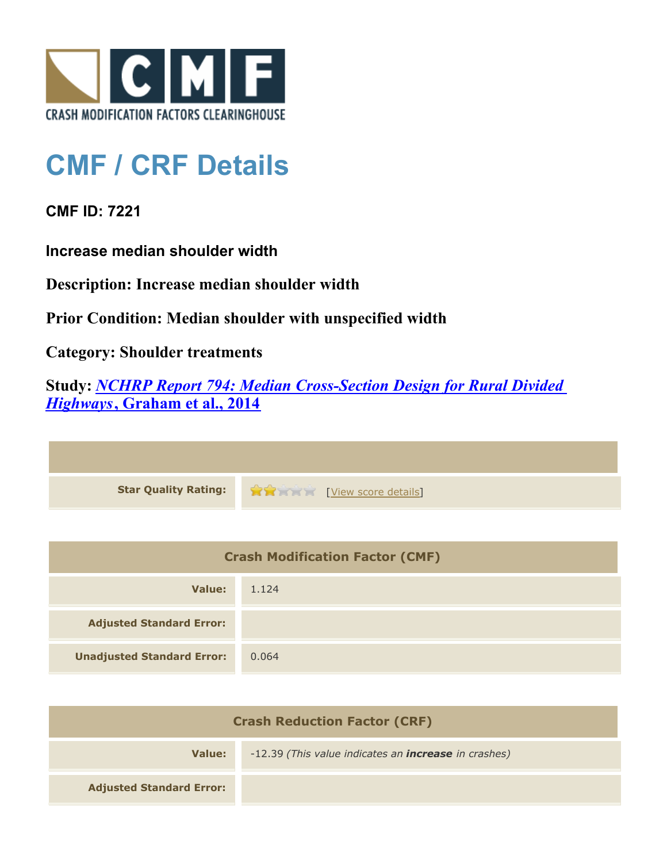

## **CMF / CRF Details**

**CMF ID: 7221**

**Increase median shoulder width**

**Description: Increase median shoulder width**

**Prior Condition: Median shoulder with unspecified width**

**Category: Shoulder treatments**

**Study:** *[NCHRP Report 794: Median Cross-Section Design for Rural Divided](http://www.cmfclearinghouse.org/study_detail.cfm?stid=420) [Highways](http://www.cmfclearinghouse.org/study_detail.cfm?stid=420)***[, Graham et al., 2014](http://www.cmfclearinghouse.org/study_detail.cfm?stid=420)**

| Star Quality Rating: 1999 [View score details] |
|------------------------------------------------|

| <b>Crash Modification Factor (CMF)</b> |       |
|----------------------------------------|-------|
| Value:                                 | 1.124 |
| <b>Adjusted Standard Error:</b>        |       |
| <b>Unadjusted Standard Error:</b>      | 0.064 |

| <b>Crash Reduction Factor (CRF)</b> |                                                             |
|-------------------------------------|-------------------------------------------------------------|
| Value:                              | -12.39 (This value indicates an <b>increase</b> in crashes) |
| <b>Adjusted Standard Error:</b>     |                                                             |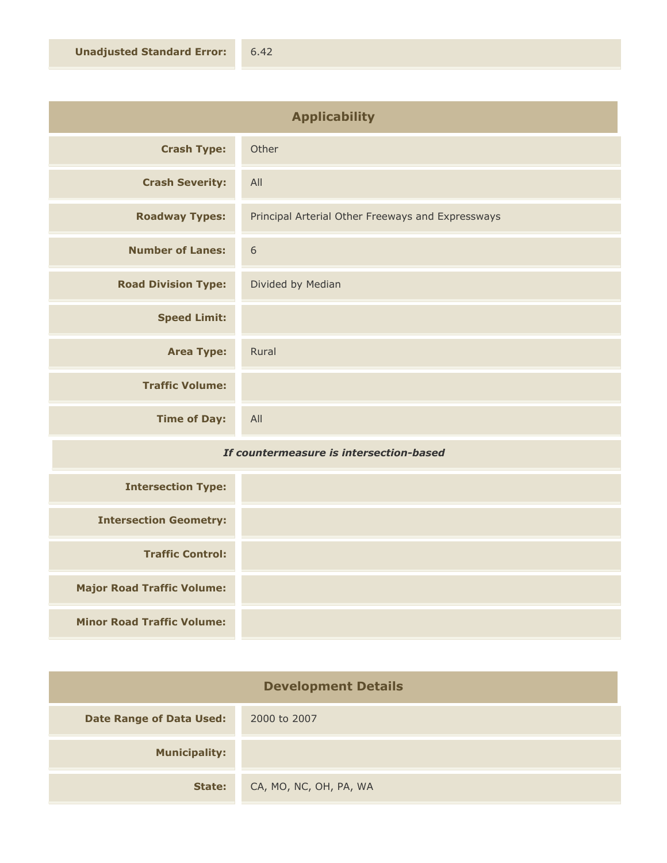| <b>Applicability</b>       |                                                   |
|----------------------------|---------------------------------------------------|
| <b>Crash Type:</b>         | Other                                             |
| <b>Crash Severity:</b>     | All                                               |
| <b>Roadway Types:</b>      | Principal Arterial Other Freeways and Expressways |
| <b>Number of Lanes:</b>    | 6                                                 |
| <b>Road Division Type:</b> | Divided by Median                                 |
| <b>Speed Limit:</b>        |                                                   |
| <b>Area Type:</b>          | Rural                                             |
| <b>Traffic Volume:</b>     |                                                   |
| <b>Time of Day:</b>        | All                                               |

## *If countermeasure is intersection-based*

| <b>Intersection Type:</b>         |  |
|-----------------------------------|--|
| <b>Intersection Geometry:</b>     |  |
| <b>Traffic Control:</b>           |  |
| <b>Major Road Traffic Volume:</b> |  |
| <b>Minor Road Traffic Volume:</b> |  |

| <b>Development Details</b>      |                        |
|---------------------------------|------------------------|
| <b>Date Range of Data Used:</b> | 2000 to 2007           |
| <b>Municipality:</b>            |                        |
| State:                          | CA, MO, NC, OH, PA, WA |